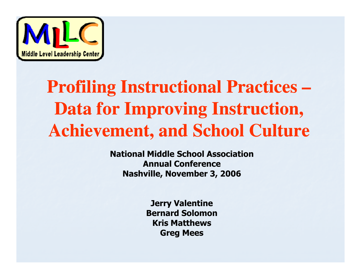

# **Profiling Instructional Practices – Data for Improving Instruction, Achievement, and School Culture**

National Middle School AssociationAnnual ConferenceNashville, November 3, 2006

> Jerry Valentine Bernard SolomonKris MatthewsGreg Mees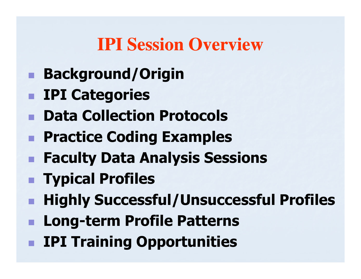#### **IPI Session Overview**

- Background/Origin
- **Execute IPI Categories**
- Data Collection Protocols
- **Repared Coding Examples**
- **Really Data Analysis Sessions**
- **Refinitive Typical Profiles**
- **Highly Successful/Unsuccessful Profiles**
- **E Long-term Profile Patterns**
- **REPI Training Opportunities**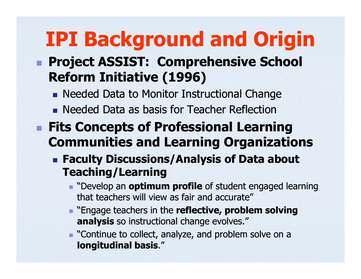# IPI Background and Origin

#### **E Project ASSIST: Comprehensive School Project ASSIST: Comprehensive School** Reform Initiative (1996)

- **Needed Data to Monitor Instructional Change**
- F. **Needed Data as basis for Teacher Reflection**
- **Fits Concepts of Professional Learning** Communities and Learning Organizations
	- **Faculty Discussions/Analysis of Data about** Teaching/Learning
		- **Develop an optimum profile of student engaged learning** that teachers will view as fair and accurate"
		- **Example 2** "Engage teachers in the **reflective, problem solving analysis** so instructional change evolves."
		- $\blacksquare$  "Continue to collect, analyze, and problem solve on a longitudinal basis."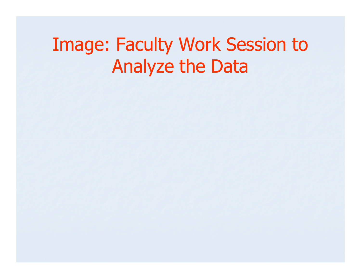### Image: Faculty Work Session to Analyze the Data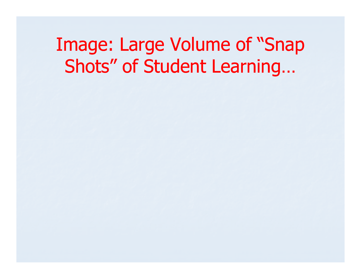#### Image: Large Volume of "Snap Shots" of Student Learning…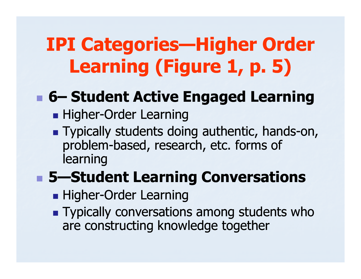# IPI Categories—Higher Order Learning (Figure 1, p. 5)

# ■ 6– Student Active Engaged Learning<br>■ Higher-Order Learning

- in. **Higher-Order Learning**
- **Typically students doing authentic, hands-on,** problem-based, research, etc. forms of learning

### **BEDEE Student Learning Conversations**

- **Higher-Order Learning**
- **Typically conversations among students who** are constructing knowledge together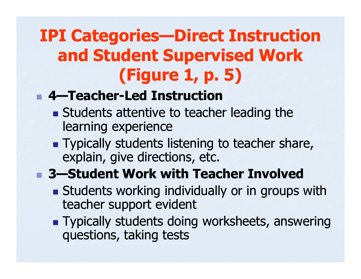#### **IPI Categories—Direct Instruction** and Student Supervised Work (Figure 1, p. 5)

#### r. **4** 4–Teacher-Led Instruction

- **Students attentive to teacher leading the** learning experience
- in. **Typically students listening to teacher share,** explain, give directions, etc.

#### **BED 3–Student Work with Teacher Involved**

- **Students working individually or in groups with** teacher support evident
- **Typically students doing worksheets, answering** questions, taking tests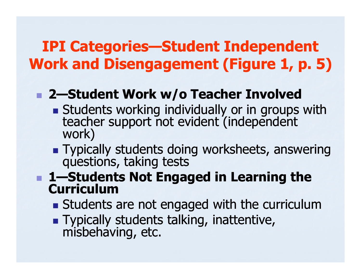#### **IPI Categories—Student Independent** Work and Disengagement (Figure 1, p. 5)

### ■ 2—Student Work w/o Teacher Involved

- **Students working individually or in groups with teacher support not evident (independent** work)
- Typically students doing worksheets, answering questions, taking tests
- **1—Students Not Engaged in Learning the Curriculum** 
	- I SLUUENU **Students are not engaged with the curriculum**
	- in. Typically students talking, inattentive, misbehaving, etc.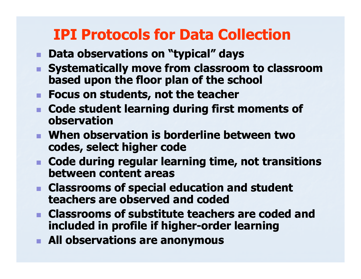#### IPI Protocols for Data Collection

- Data observations on "typical" days
- Systematically move from classroom to classroom . based upon the floor plan of the school
- **Focus on students, not the teacher**
- **Code student learning during first moments of** observation
- $\blacksquare$  When obse **Nhen observation is borderline between two** codes, select higher code
- **n** Code during regular lear **Code during regular learning time, not transitions** between content areas
- **Classrooms of special education and student** teachers are observed and coded
- Classrooms of substitute teache **EXPLASS CLASS FOOMS OF Substitute teachers are coded and Latitude Strategier of Strategier And Latitude Strategier And Latitude Strategier And Latitude Strategier And Latitude Strategier And Latitude Strategier And Latitu** included in profile if higher-order learning
- **All observations are anonymous**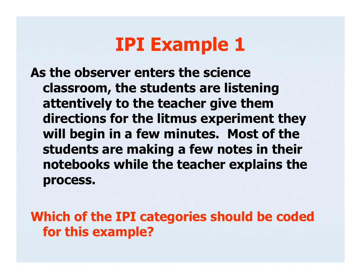As the observer enters the science classroom, the students are listening attentively to the teacher give them directions for the litmus experiment they will begin in a few minutes. Most of the students are making a few notes in their notebooks while the teacher explains the process.

Which of the IPI categories should be coded for this example?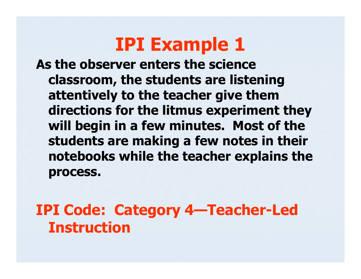As the observer enters the science classroom, the students are listening attentively to the teacher give them directions for the litmus experiment they will begin in a few minutes. Most of the students are making a few notes in their notebooks while the teacher explains the process.

IPI Code: Category 4—Teacher-Led Instruction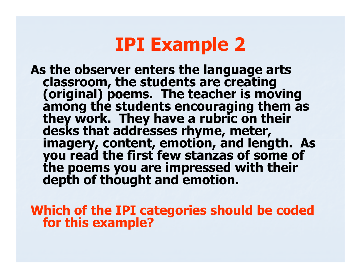As the observer enters the language arts<br>classroom, the students are creating<br>(original) poems. The teacher is moving<br>among the students encouraging them as<br>they work. They have a rubric on their desks that addresses rhyme, meter, imagery, content, emotion, and length. As you read the first few stanzas of some of the poems you are impressed with their depth of thought and emotion.

Which of the IPI categories should be coded for this example?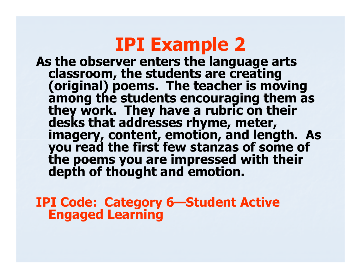As the observer enters the language arts As the observer enters the language arts<br>classroom, the students are creating<br>(original) poems. The teacher is moving<br>among the students encouraging them as<br>they work. They have a rubric on their desks that addresses rhyme, meter, imagery, content, emotion, and length. As you read the first few stanzas of some of the poems you are impressed with their depth of thought and emotion.

IPI Code: Category 6—Student Active Engaged Learning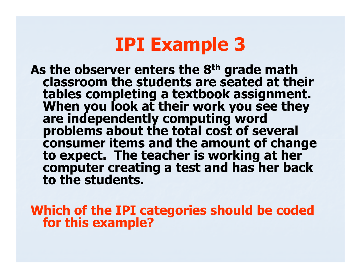As the observer enters the 8<sup>th</sup> grade math<br>classroom the students are seated at their tables completing a textbook assignment.<br>When you look at their work you see they<br>are independently computing word problems about the total cost of several<br>consumer items and the amount of change<br>to expect. The teacher is working at her<br>computer creating a test and has her back<br>to the students.

Which of the IPI categories should be coded for this example?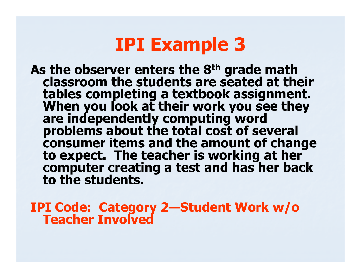As the observer enters the 8<sup>th</sup> grade math classroom the students are seated at their tables completing a textbook assignment.<br>When you look at their work you see they<br>are independently computing word problems about the total cost of several<br>consumer items and the amount of change<br>to expect. The teacher is working at her<br>computer creating a test and has her back<br>to the students.

IPI Code: Category 2—Student Work w/o Teacher Involved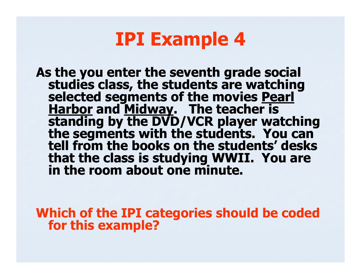As the you enter the seventh grade social<br>studies class, the students are watching<br>selected segments of the movies <u>Pearl<br>Harbor</u> and <u>Midway</u>. The teacher is<br>standing by the DVD/VCR player watching Harbor and Midway. The teacher is standing by the DVD player watching<br>the segments with the students. You can<br>tell from the books on the students' desks that the class is studying WWII. You are in the room about one minute.

Which of the IPI categories should be coded for this example?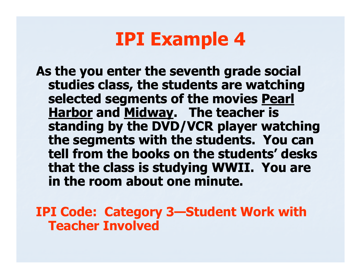As the you enter the seventh grade social studies class, the students are watching selected segments of the movies Pearl Harbor and Midway. The teacher is standing by the DVD/VCR player watching the segments with the students. You can tell from the books on the students' desks that the class is studying WWII. You are in the room about one minute.

IPI Code: Category 3—Student Work with Teacher Involved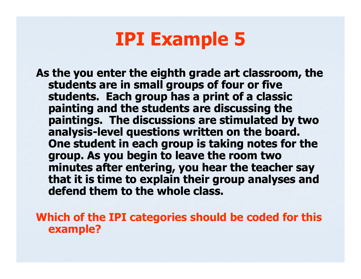As the you enter the eighth grade art classroom, the article students are in small grassing of four or five students are in small groups of four or five students. Each group has a print of a classic painting and the students are discussing the paintings. The discussions are stimulated by two analysis-level questions written on the board. One student in each group is taking notes for the group. As you begin to leave the room two minutes after entering, you hear the teacher say that it is time to explain their group analyses and defend them to the whole class.

Which of the IPI categories should be coded for this example?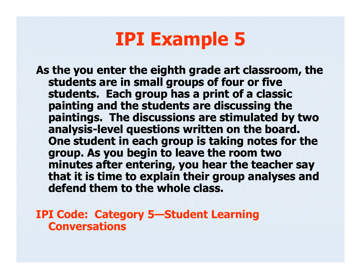As the you enter the eighth grade art classroom, the article students are in small grassing of four or five students are in small groups of four or five students. Each group has a print of a classic painting and the students are discussing the paintings. The discussions are stimulated by two analysis-level questions written on the board. One student in each group is taking notes for the group. As you begin to leave the room two minutes after entering, you hear the teacher say that it is time to explain their group analyses and defend them to the whole class.

IPI Code: Category 5—Student Learning Conversations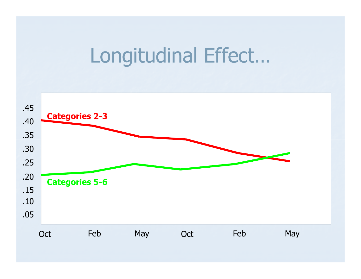# Longitudinal Effect…

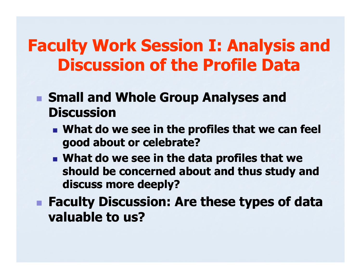#### Faculty Work Session I: Analysis and Discussion of the Profile Data

- **Small and Whole Group Analyses and Discussion** 
	- $\blacksquare$  What do **Nhat do we see in the profiles that we can feel** good about or celebrate?
	- F. **Nhat do we see in the data profiles that we** should be concerned about and thus study and discuss more deeply?
- **Faculty Discussion: Are these types of data** valuable to us?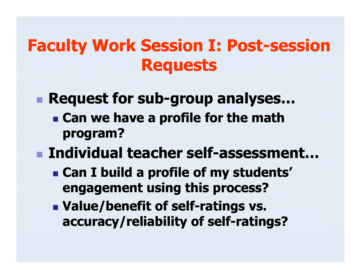#### Faculty Work Session I: Post-session Requests

- **Request for sub-group analyses...**<br>Can we have a profile for the math
	- **Example 2 Figure 2 as profile for the math** program?
- Individual teacher self-assessment…<br>Can I build a profile of my students'
	- **Example 2 and I build a profile of my students'** engagement using this process?
	- **Nalue/benefit of self-ratings vs.** accuracy/reliability of self-ratings?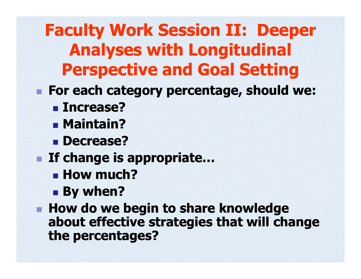Faculty Work Session II: Deeper Analyses with Longitudinal Perspective and Goal Setting

- r. ■ For each category percentage, should we:
	- Increase?
	- **B** Maintain?
	- **Decrease?**
- **If change is appropriate...** 
	- **E** How much?
	- By when?

r. **How do we begin to share knowledge** about effective strategies that will change the percentages?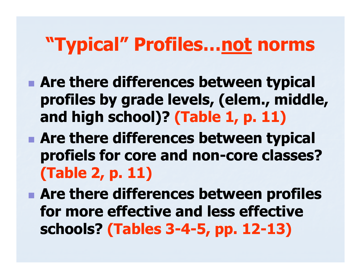# "Typical" Profiles...<u>not</u> norms

**Are there differences between typical** profiles by grade levels, (elem., middle, and high school)? (Table 1, p. 11)

**Are there differences between typical** profiels for core and non-core classes?<br>
<del>Co</del>rected (Table 2, p. 11)

**Are there differences between profiles** for more effective and less effective schools? (Tables 3-4-5, pp. 12-13)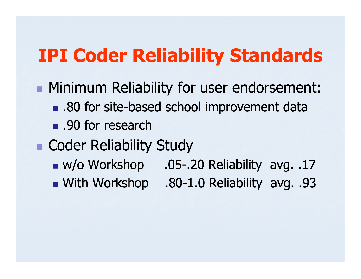### IPI Coder Reliability Standards

**• Minimum Reliability for user endorsement: .** .80 for site-based school improvement data ■ .90 for research ■ Coder Reliability Study ■ w/o Workshop .05 .05-.20 Reliability avg. .17 .20 With Workshop .80.80-1.0 Reliability avg. .93 1.0 Reliability avg.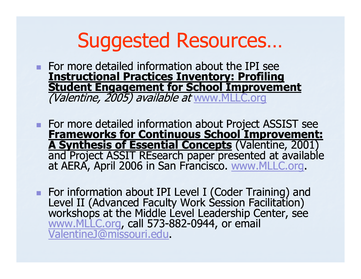# Suggested Resources…

- $\blacksquare$  For more detailed information about the IPI s For more detailed information about the IPI see Instructional Practices Inventory: Profiling Student Engagement for School Improvement(Valentine, 2005) available at www.MLLC.org
- For more detailed information about Project ASSIST see For more detailed information about Project ASSIST see<br>Frameworks for Continuous School Improvement:<br>A Synthesis of Essential Concepts (Valentine, 2001) and Project ASSIT REsearch paper presented at available at AERA, April 2006 in San Francisco. www.MLLC.org.
- For information about IPI Level I (Coder Training) and Level II (Advanced Faculty Work Session Facilitation) workshops at the Middle Level Leadership Center, see www.MLLC.org, call 573-882-0944, or email<br>ValentineJ@missouri.edu.